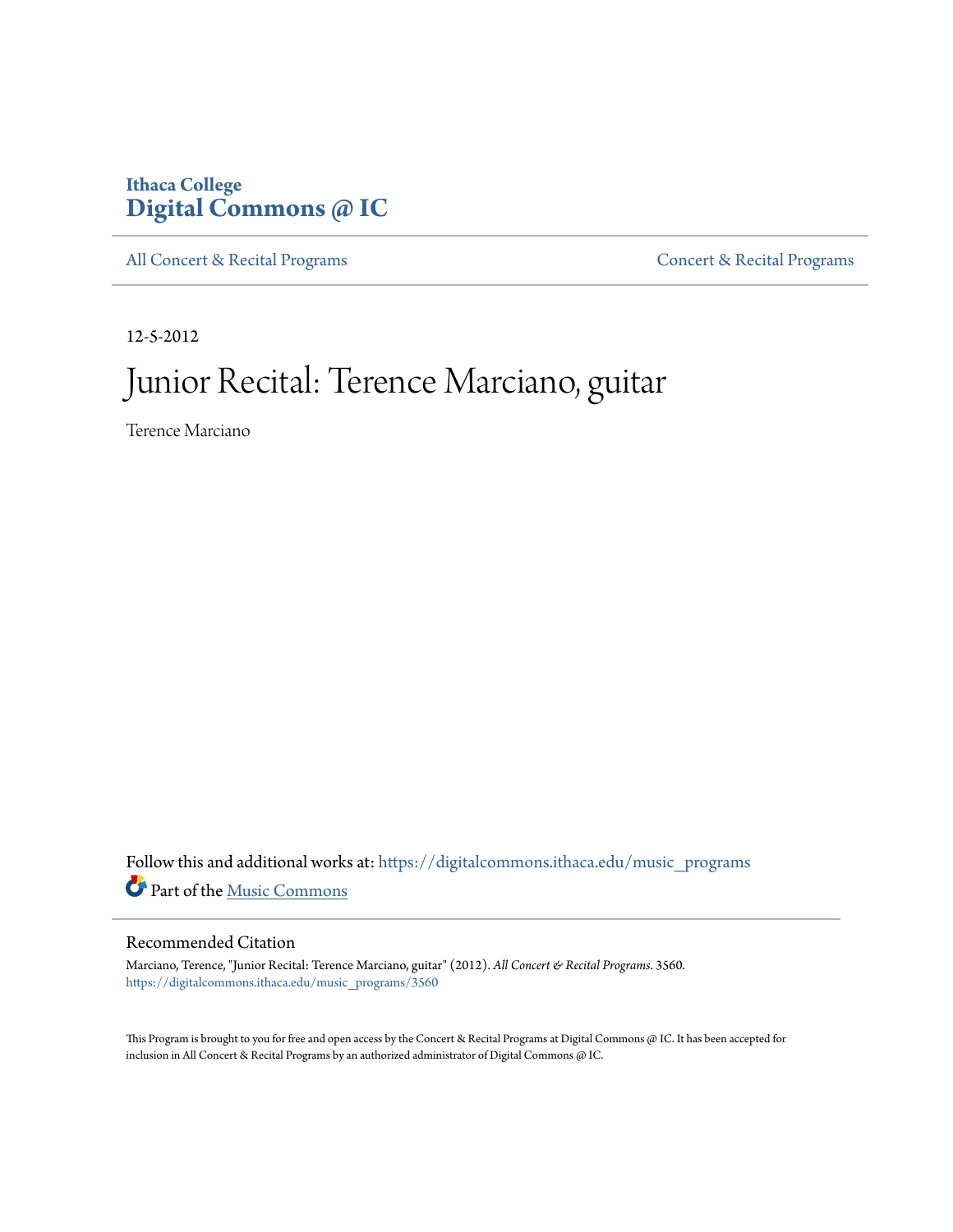## **Ithaca College [Digital Commons @ IC](https://digitalcommons.ithaca.edu?utm_source=digitalcommons.ithaca.edu%2Fmusic_programs%2F3560&utm_medium=PDF&utm_campaign=PDFCoverPages)**

[All Concert & Recital Programs](https://digitalcommons.ithaca.edu/music_programs?utm_source=digitalcommons.ithaca.edu%2Fmusic_programs%2F3560&utm_medium=PDF&utm_campaign=PDFCoverPages) **[Concert & Recital Programs](https://digitalcommons.ithaca.edu/som_programs?utm_source=digitalcommons.ithaca.edu%2Fmusic_programs%2F3560&utm_medium=PDF&utm_campaign=PDFCoverPages)** 

12-5-2012

# Junior Recital: Terence Marciano, guitar

Terence Marciano

Follow this and additional works at: [https://digitalcommons.ithaca.edu/music\\_programs](https://digitalcommons.ithaca.edu/music_programs?utm_source=digitalcommons.ithaca.edu%2Fmusic_programs%2F3560&utm_medium=PDF&utm_campaign=PDFCoverPages) Part of the [Music Commons](http://network.bepress.com/hgg/discipline/518?utm_source=digitalcommons.ithaca.edu%2Fmusic_programs%2F3560&utm_medium=PDF&utm_campaign=PDFCoverPages)

#### Recommended Citation

Marciano, Terence, "Junior Recital: Terence Marciano, guitar" (2012). *All Concert & Recital Programs*. 3560. [https://digitalcommons.ithaca.edu/music\\_programs/3560](https://digitalcommons.ithaca.edu/music_programs/3560?utm_source=digitalcommons.ithaca.edu%2Fmusic_programs%2F3560&utm_medium=PDF&utm_campaign=PDFCoverPages)

This Program is brought to you for free and open access by the Concert & Recital Programs at Digital Commons @ IC. It has been accepted for inclusion in All Concert & Recital Programs by an authorized administrator of Digital Commons @ IC.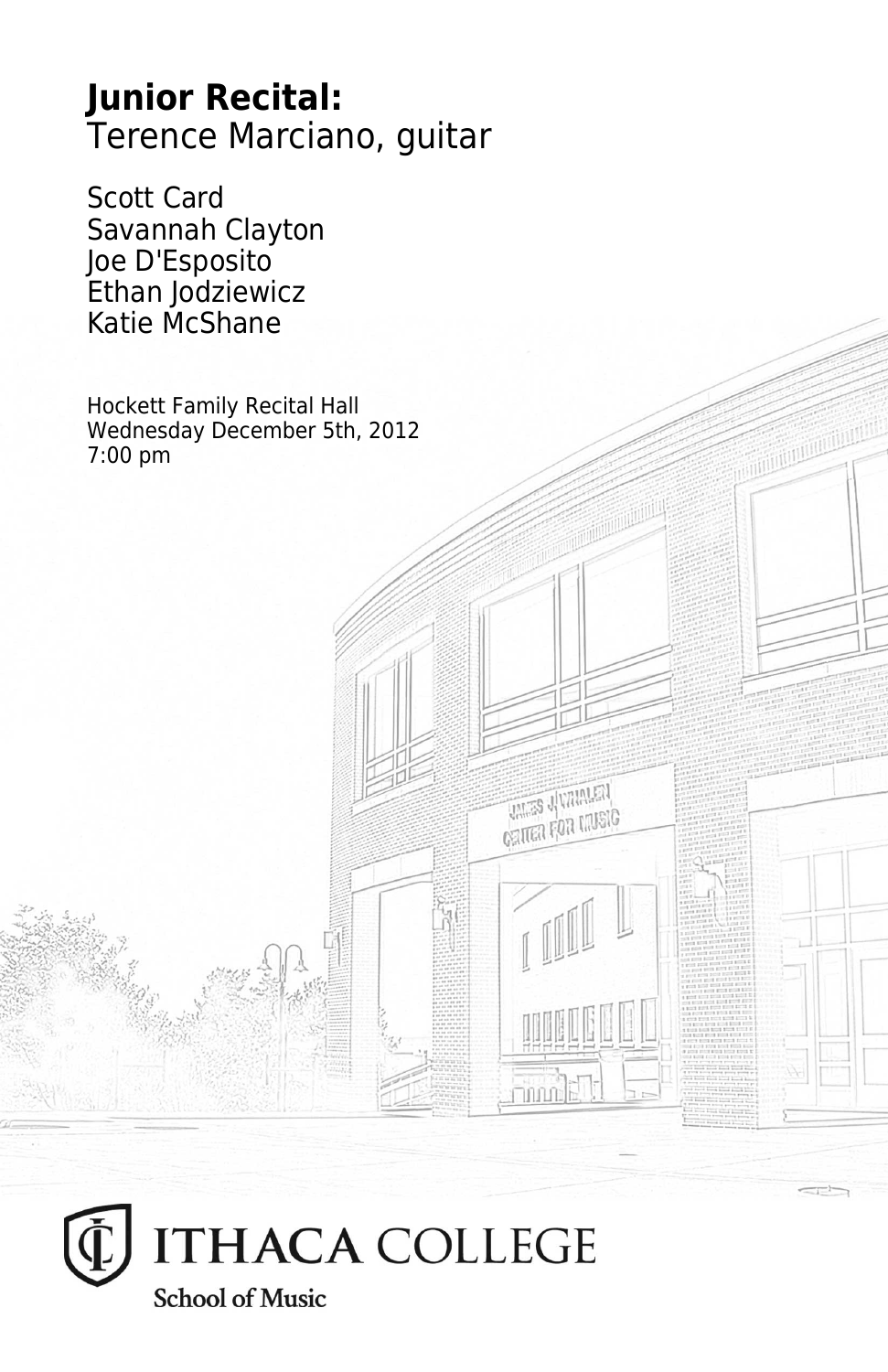# **Junior Recital:** Terence Marciano, guitar

Scott Card Savannah Clayton Joe D'Esposito Ethan Jodziewicz Katie McShane

Hockett Family Recital Hall Wednesday December 5th, 2012 7:00 pm

**THES JUMPILER CRITER FOR LIVEIG**